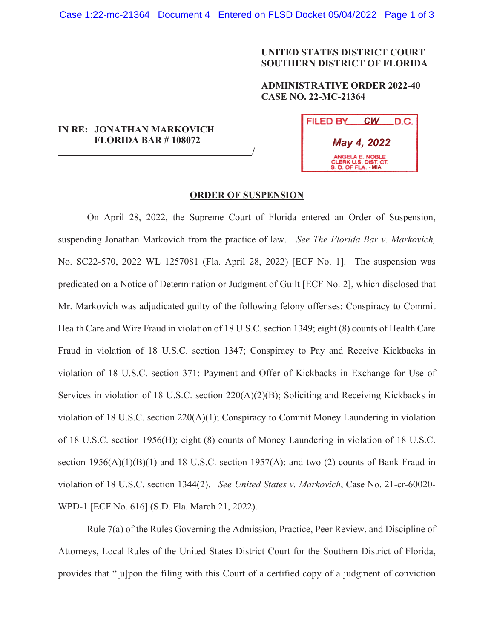## **UNITED STATES DISTRICT COURT SOUTHERN DISTRICT OF FLORIDA**

**ADMINISTRATIVE ORDER 2022-40 CASE NO. 22-MC-21364** 

## **IN RE: JONATHAN MARKOVICH FLORIDA BAR # 108072**

 **/**

| FILED BY<br>.D.C. I<br><b>CW</b>                               |
|----------------------------------------------------------------|
| May 4, 2022                                                    |
| ANGELA E. NOBLE<br>CLERK U.S. DIST. CT.<br>S. D. OF FLA. - MIA |

## **ORDER OF SUSPENSION**

On April 28, 2022, the Supreme Court of Florida entered an Order of Suspension, suspending Jonathan Markovich from the practice of law. *See The Florida Bar v. Markovich,*  No. SC22-570, 2022 WL 1257081 (Fla. April 28, 2022) [ECF No. 1]. The suspension was predicated on a Notice of Determination or Judgment of Guilt [ECF No. 2], which disclosed that Mr. Markovich was adjudicated guilty of the following felony offenses: Conspiracy to Commit Health Care and Wire Fraud in violation of 18 U.S.C. section 1349; eight (8) counts of Health Care Fraud in violation of 18 U.S.C. section 1347; Conspiracy to Pay and Receive Kickbacks in violation of 18 U.S.C. section 371; Payment and Offer of Kickbacks in Exchange for Use of Services in violation of 18 U.S.C. section 220(A)(2)(B); Soliciting and Receiving Kickbacks in violation of 18 U.S.C. section 220(A)(1); Conspiracy to Commit Money Laundering in violation of 18 U.S.C. section 1956(H); eight (8) counts of Money Laundering in violation of 18 U.S.C. section  $1956(A)(1)(B)(1)$  and 18 U.S.C. section  $1957(A)$ ; and two (2) counts of Bank Fraud in violation of 18 U.S.C. section 1344(2). *See United States v. Markovich*, Case No. 21-cr-60020- WPD-1 [ECF No. 616] (S.D. Fla. March 21, 2022).

Rule 7(a) of the Rules Governing the Admission, Practice, Peer Review, and Discipline of Attorneys, Local Rules of the United States District Court for the Southern District of Florida, provides that "[u]pon the filing with this Court of a certified copy of a judgment of conviction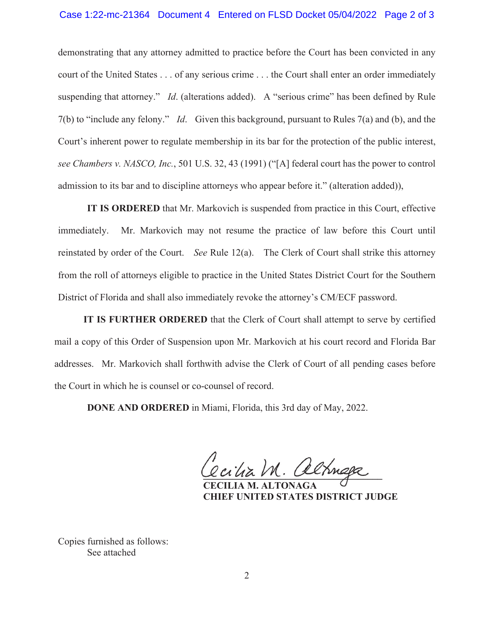## Case 1:22-mc-21364 Document 4 Entered on FLSD Docket 05/04/2022 Page 2 of 3

demonstrating that any attorney admitted to practice before the Court has been convicted in any court of the United States . . . of any serious crime . . . the Court shall enter an order immediately suspending that attorney." *Id.* (alterations added). A "serious crime" has been defined by Rule 7(b) to "include any felony." *Id*. Given this background, pursuant to Rules 7(a) and (b), and the Court's inherent power to regulate membership in its bar for the protection of the public interest, *see Chambers v. NASCO, Inc.*, 501 U.S. 32, 43 (1991) ("[A] federal court has the power to control admission to its bar and to discipline attorneys who appear before it." (alteration added)),

**IT IS ORDERED** that Mr. Markovich is suspended from practice in this Court, effective immediately. Mr. Markovich may not resume the practice of law before this Court until reinstated by order of the Court. *See* Rule 12(a). The Clerk of Court shall strike this attorney from the roll of attorneys eligible to practice in the United States District Court for the Southern District of Florida and shall also immediately revoke the attorney's CM/ECF password.

**IT IS FURTHER ORDERED** that the Clerk of Court shall attempt to serve by certified mail a copy of this Order of Suspension upon Mr. Markovich at his court record and Florida Bar addresses. Mr. Markovich shall forthwith advise the Clerk of Court of all pending cases before the Court in which he is counsel or co-counsel of record.

**DONE AND ORDERED** in Miami, Florida, this 3rd day of May, 2022.

**\_\_\_\_\_\_\_\_\_\_\_\_\_\_\_\_\_\_\_\_\_\_\_\_\_\_\_\_\_\_\_\_\_\_\_\_\_** 

 **CECILIA M. ALTONAGA CHIEF UNITED STATES DISTRICT JUDGE** 

Copies furnished as follows: See attached